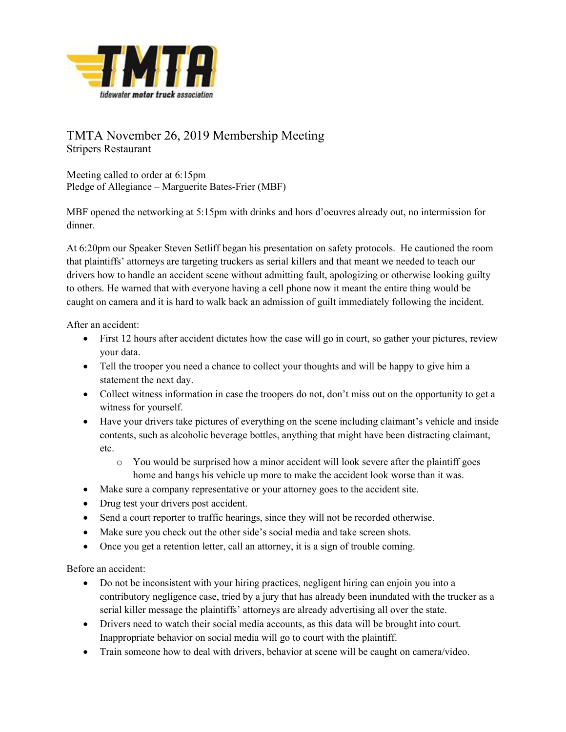

## TMTA November 26, 2019 Membership Meeting Stripers Restaurant

Meeting called to order at 6:15pm Pledge of Allegiance – Marguerite Bates-Frier (MBF)

MBF opened the networking at 5:15pm with drinks and hors d'oeuvres already out, no intermission for dinner.

At 6:20pm our Speaker Steven Setliff began his presentation on safety protocols. He cautioned the room that plaintiffs' attorneys are targeting truckers as serial killers and that meant we needed to teach our drivers how to handle an accident scene without admitting fault, apologizing or otherwise looking guilty to others. He warned that with everyone having a cell phone now it meant the entire thing would be caught on camera and it is hard to walk back an admission of guilt immediately following the incident.

After an accident:

- First 12 hours after accident dictates how the case will go in court, so gather your pictures, review your data.
- Tell the trooper you need a chance to collect your thoughts and will be happy to give him a statement the next day.
- Collect witness information in case the troopers do not, don't miss out on the opportunity to get a witness for yourself.
- Have your drivers take pictures of everything on the scene including claimant's vehicle and inside contents, such as alcoholic beverage bottles, anything that might have been distracting claimant, etc.
	- o You would be surprised how a minor accident will look severe after the plaintiff goes home and bangs his vehicle up more to make the accident look worse than it was.
- Make sure a company representative or your attorney goes to the accident site.
- Drug test your drivers post accident.
- Send a court reporter to traffic hearings, since they will not be recorded otherwise.
- Make sure you check out the other side's social media and take screen shots.
- Once you get a retention letter, call an attorney, it is a sign of trouble coming.

Before an accident:

- Do not be inconsistent with your hiring practices, negligent hiring can enjoin you into a contributory negligence case, tried by a jury that has already been inundated with the trucker as a serial killer message the plaintiffs' attorneys are already advertising all over the state.
- Drivers need to watch their social media accounts, as this data will be brought into court. Inappropriate behavior on social media will go to court with the plaintiff.
- Train someone how to deal with drivers, behavior at scene will be caught on camera/video.